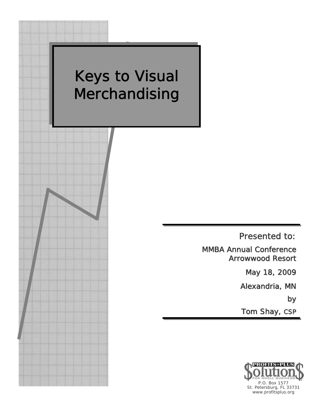

Presented to:

MMBA Annual Conference Arrowwood Resort

May 18, 2009

Alexandria, MN

by

Tom Shay, CSP

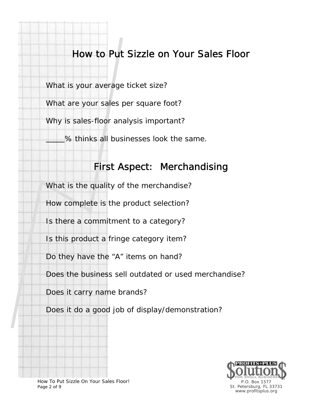## How to Put Sizzle on Your Sales Floor

What is your average ticket size?

What are your sales per square foot?

Why is sales-floor analysis important?

% thinks all businesses look the same.

#### First Aspect: Merchandising

What is the quality of the merchandise?

How complete is the product selection?

Is there a commitment to a category?

Is this product a fringe category item?

Do they have the "A" items on hand?

Does the business sell outdated or used merchandise?

Does it carry name brands?

Does it do a good job of display/demonstration?



How To Put Sizzle On Your Sales Floor! Page 2 of 9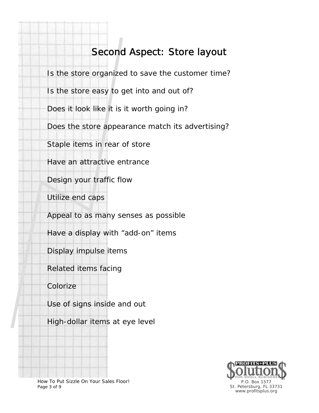## Second Aspect: Store layout

Is the store organized to save the customer time? Is the store easy to get into and out of? Does it look like it is it worth going in? Does the store appearance match its advertising? Staple items in rear of store Have an attractive entrance Design your traffic flow Utilize end caps Appeal to as many senses as possible Have a display with "add-on" items Display impulse items Related items facing

Colorize

Use of signs inside and out

High-dollar items at eye level



How To Put Sizzle On Your Sales Floor! Page 3 of 9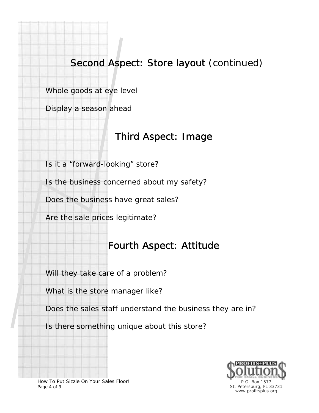## Second Aspect: Store layout (continued)

Whole goods at eye level

Display a season ahead

### Third Aspect: Image

Is it a "forward-looking" store?

Is the business concerned about my safety?

Does the business have great sales?

Are the sale prices legitimate?

## Fourth Aspect: Attitude

Will they take care of a problem?

What is the store manager like?

Does the sales staff understand the business they are in?

Is there something unique about this store?



How To Put Sizzle On Your Sales Floor! Page 4 of 9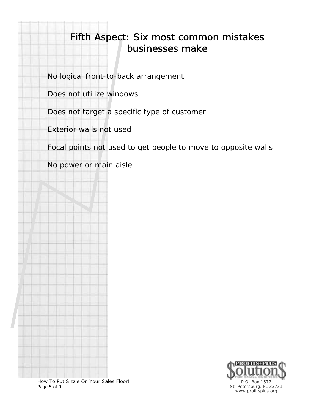## Fifth Aspect: Six most common mistakes businesses make

No logical front-to-back arrangement

Does not utilize windows

Does not target a specific type of customer

Exterior walls not used

Focal points not used to get people to move to opposite walls

No power or main aisle



How To Put Sizzle On Your Sales Floor! Page 5 of 9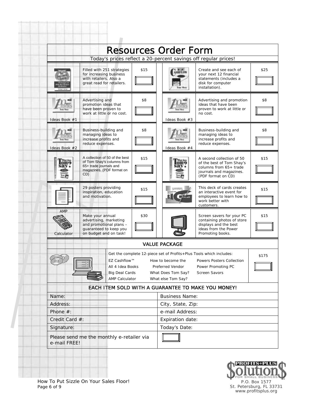|                                                                                                                                                           |                                                                                                                            |      | <b>Resources Order Form</b>                                                       |                                                                                                                                   |       |
|-----------------------------------------------------------------------------------------------------------------------------------------------------------|----------------------------------------------------------------------------------------------------------------------------|------|-----------------------------------------------------------------------------------|-----------------------------------------------------------------------------------------------------------------------------------|-------|
|                                                                                                                                                           | Today's prices reflect a 20-percent savings off regular prices!                                                            |      |                                                                                   |                                                                                                                                   |       |
|                                                                                                                                                           | Filled with 251 strategies<br>for increasing business<br>with retailers. Also a<br>great read for retailers.               | \$15 | <b>ASHFLOW</b>                                                                    | Create and see each of<br>your next 12 financial<br>statements (includes a<br>disk for computer<br>installation).                 | \$25  |
| Ideas Book #1                                                                                                                                             | Advertising and<br>promotion ideas that<br>have been proven to<br>work at little or no cost.                               | \$8  | Ideas Book #3                                                                     | Advertising and promotion<br>ideas that have been<br>proven to work at little or<br>no cost.                                      | \$8   |
| Ideas Book #2                                                                                                                                             | Business-building and<br>managing ideas to<br>increase profits and<br>reduce expenses.                                     | \$8  | Ideas Book #4                                                                     | Business-building and<br>managing ideas to<br>increase profits and<br>reduce expenses.                                            | \$8   |
|                                                                                                                                                           | A collection of 50 of the best<br>of Tom Shay's columns from<br>65+ trade journals and<br>magazines. (PDF format on<br>CD) | \$15 |                                                                                   | A second collection of 50<br>of the best of Tom Shay's<br>columns from 65+ trade<br>journals and magazines.<br>(PDF format on CD) | \$15  |
|                                                                                                                                                           | 29 posters providing<br>inspiration, education<br>and motivation.                                                          | \$15 | Seminar                                                                           | This deck of cards creates<br>an interactive event for<br>employees to learn how to<br>work better with<br>customers.             | \$15  |
| <b>AMP</b><br>Calculator                                                                                                                                  | Make your annual<br>advertising, marketing<br>and promotional plans -<br>quaranteed to keep you<br>on budget and on task!  | \$30 |                                                                                   | Screen savers for your PC<br>containing photos of store<br>displays and the best<br>ideas from the Power<br>Promoting books.      | \$15  |
|                                                                                                                                                           |                                                                                                                            |      | <b>VALUE PACKAGE</b>                                                              |                                                                                                                                   |       |
| Get the complete 12-piece set of Profits+Plus Tools which includes:<br>EZ Cashflow™<br>All 4 Idea Books<br><b>Big Deal Cards</b><br><b>AMP Calculator</b> |                                                                                                                            |      | How to become the<br>Preferred Vendor<br>What Does Tom Say?<br>What else Tom Say? | Powers Posters Collection<br>Power Promoting PC<br>Screen Savors                                                                  | \$175 |
|                                                                                                                                                           | EACH ITEM SOLD WITH A GUARANTEE TO MAKE YOU MONEY!                                                                         |      |                                                                                   |                                                                                                                                   |       |
| Name:                                                                                                                                                     |                                                                                                                            |      | <b>Business Name:</b>                                                             |                                                                                                                                   |       |
| Address:<br>Phone $#$ :                                                                                                                                   |                                                                                                                            |      | City, State, Zip:<br>e-mail Address:                                              |                                                                                                                                   |       |
| Credit Card #:                                                                                                                                            |                                                                                                                            |      | Expiration date:                                                                  |                                                                                                                                   |       |
| Signature:                                                                                                                                                |                                                                                                                            |      | Today's Date:                                                                     |                                                                                                                                   |       |
| Please send me the monthly e-retailer via<br>e-mail FREE!                                                                                                 |                                                                                                                            |      |                                                                                   |                                                                                                                                   |       |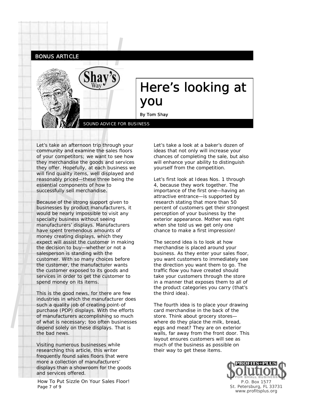



# Here's looking at you

Ī By Tom Shay

SOUND ADVICE FOR BUSINESS

Let's take an afternoon trip through your community and examine the sales floors of your competitors; we want to see how they merchandise the goods and services they offer. Hopefully, at each business we will find quality items, well displayed and reasonably priced—these three being the essential components of how to successfully sell merchandise.

Because of the strong support given to businesses by product manufacturers, it would be nearly impossible to visit any specialty business without seeing manufacturers' displays. Manufacturers have spent tremendous amounts of money creating displays, which they expect will assist the customer in making the decision to buy—whether or not a salesperson is standing with the customer. With so many choices before the customer, the manufacturer wants the customer exposed to its goods and services in order to get the customer to spend money on its items.

This is the good news, for there are few industries in which the manufacturer does such a quality job of creating point-of purchase (POP) displays. With the efforts of manufacturers accomplishing so much of what is necessary; too often businesses depend solely on these displays. That is the bad news.

Visiting numerous businesses while researching this article, this writer frequently found sales floors that were more a collection of manufacturers' displays than a showroom for the goods and services offered.

How To Put Sizzle On Your Sales Floor! Page 7 of 9

Let's take a look at a baker's dozen of ideas that not only will increase your chances of completing the sale, but also will enhance your ability to distinguish yourself from the competition.

Let's first look at Ideas Nos. 1 through 4, because they work together. The importance of the first one—having an attractive entrance—is supported by research stating that more than 50 percent of customers get their strongest perception of your business by the exterior appearance. Mother was right when she told us we get only one chance to make a first impression!

The second idea is to look at how merchandise is placed around your business. As they enter your sales floor, you want customers to immediately see the direction you want them to go. The traffic flow you have created should take your customers through the store in a manner that exposes them to all of the product categories you carry (that's the third idea).

The fourth idea is to place your drawing card merchandise in the back of the store. Think about grocery stores where do they place the milk, bread, eggs and meat? They are on exterior walls, far away from the front door. This layout ensures customers will see as much of the business as possible on their way to get these items.

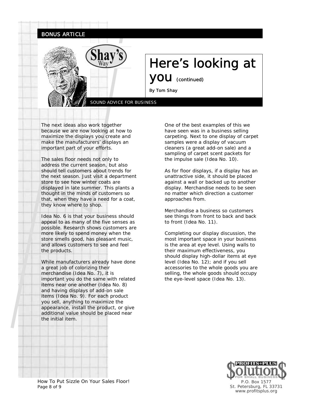

The next ideas also work together because we are now looking at how to maximize the displays you create and make the manufacturers' displays an important part of your efforts.

The sales floor needs not only to address the current season, but also should tell customers about trends for the next season. Just visit a department store to see how winter coats are displayed in late summer. This plants a thought in the minds of customers so that, when they have a need for a coat, they know where to shop.

Idea No. 6 is that your business should appeal to as many of the five senses as possible. Research shows customers are more likely to spend money when the store smells good, has pleasant music, and allows customers to see and feel the products.

While manufacturers already have done a great job of colorizing their merchandise (Idea No. 7), it is important you do the same with related items near one another (Idea No. 8) and having displays of add-on sale items (Idea No. 9). For each product you sell, anything to maximize the appearance, install the product, or give additional value should be placed near the initial item.

One of the best examples of this we have seen was in a business selling carpeting. Next to one display of carpet samples were a display of vacuum cleaners (a great add-on sale) and a sampling of carpet scent packets for the impulse sale (Idea No. 10).

As for floor displays, if a display has an unattractive side, it should be placed against a wall or backed up to another display. Merchandise needs to be seen no matter which direction a customer approaches from.

Merchandise a business so customers see things from front to back and back to front (Idea No. 11).

Completing our display discussion, the most important space in your business is the area at eye level. Using walls to their maximum effectiveness, you should display high-dollar items at eye level (Idea No. 12); and if you sell accessories to the whole goods you are selling, the whole goods should occupy the eye-level space (Idea No. 13).



How To Put Sizzle On Your Sales Floor! Page 8 of 9